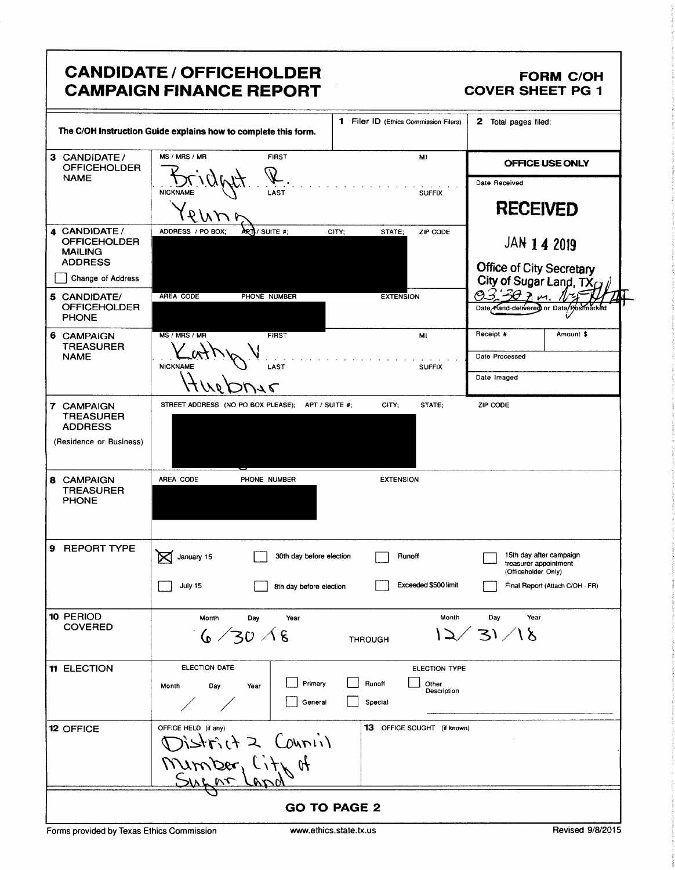| <b>CANDIDATE / OFFICEHOLDER</b><br><b>FORM C/OH</b><br><b>CAMPAIGN FINANCE REPORT</b><br><b>COVER SHEET PG 1</b> |                                                              |                                                     |                                                            |                                                                                 |                                 |  |  |
|------------------------------------------------------------------------------------------------------------------|--------------------------------------------------------------|-----------------------------------------------------|------------------------------------------------------------|---------------------------------------------------------------------------------|---------------------------------|--|--|
| 1 Filer ID (Ethics Commission Filers)<br>The C/OH Instruction Guide explains how to complete this form.          |                                                              |                                                     | 2 Total pages filed:                                       |                                                                                 |                                 |  |  |
| 3 CANDIDATE /<br><b>OFFICEHOLDER</b>                                                                             | MS / MRS / MR                                                | <b>FIRST</b>                                        | MI                                                         | OFFICE USE ONLY                                                                 |                                 |  |  |
| <b>NAME</b>                                                                                                      | <b>NICKNAME</b><br>LAST                                      |                                                     | <b>SUFFIX</b>                                              | Date Received<br><b>RECEIVED</b>                                                |                                 |  |  |
| 4 CANDIDATE /<br><b>OFFICEHOLDER</b><br><b>MAILING</b><br><b>ADDRESS</b><br>Change of Address                    | ADDRESS / PO BOX;<br>artiv suite #;                          | CITY:                                               | STATE;<br>ZIP CODE                                         | JAN 1 4 2019<br>Office of City Secretary<br>City of Sugar Land, TX <sub>(</sub> |                                 |  |  |
| 5 CANDIDATE/<br><b>OFFICEHOLDER</b><br><b>PHONE</b>                                                              | <b>AREA CODE</b><br>PHONE NUMBER                             |                                                     | <b>EXTENSION</b>                                           | 30.5<br>Date Hand-delivered or Date/Postmark                                    |                                 |  |  |
| 6 CAMPAIGN<br><b>TREASURER</b><br><b>NAME</b>                                                                    | MS / MRS / MR<br><b>FIRST</b><br><b>NICKNAME</b><br>LAST     |                                                     | MI<br><b>SUFFIX</b>                                        | Receipt #<br>Date Processed<br>Date Imaged                                      | Amount \$                       |  |  |
| 7 CAMPAIGN<br><b>TREASURER</b><br><b>ADDRESS</b><br>(Residence or Business)                                      | STREET ADDRESS (NO PO BOX PLEASE); APT / SUITE #;            |                                                     | CITY:<br>STATE;                                            | ZIP CODE                                                                        |                                 |  |  |
| 8 CAMPAIGN<br><b>TREASURER</b><br><b>PHONE</b>                                                                   | AREA CODE<br>PHONE NUMBER                                    |                                                     | <b>EXTENSION</b>                                           |                                                                                 |                                 |  |  |
| 9 REPORT TYPE                                                                                                    | ⊠<br>January 15<br>July 15                                   | 30th day before election<br>8th day before election | Runoff<br>Exceeded \$500 limit                             | 15th day after campaign<br>treasurer appointment<br>(Officeholder Only)         | Final Report (Attach C/OH - FR) |  |  |
| 10 PERIOD<br><b>COVERED</b>                                                                                      | Month<br>Day<br>6/30/8                                       | Year<br><b>THROUGH</b>                              | Month                                                      | Year<br>Day<br>$\sqrt{31/18}$                                                   |                                 |  |  |
| <b>11 ELECTION</b>                                                                                               | ELECTION DATE<br>Month<br>Day<br>Year                        | Primary<br>General                                  | ELECTION TYPE<br>Runoff<br>Other<br>Description<br>Special |                                                                                 |                                 |  |  |
| 12 OFFICE                                                                                                        | OFFICE HELD (if any)<br>nstrict 2 Counii)<br>Mimber, Lity of |                                                     | <b>13</b> OFFICE SOUGHT (if known)                         |                                                                                 |                                 |  |  |
| <b>GO TO PAGE 2</b>                                                                                              |                                                              |                                                     |                                                            |                                                                                 |                                 |  |  |

Forms provided by Texas Ethics Commission www.ethics.state.tx.us Revised 9/8/2015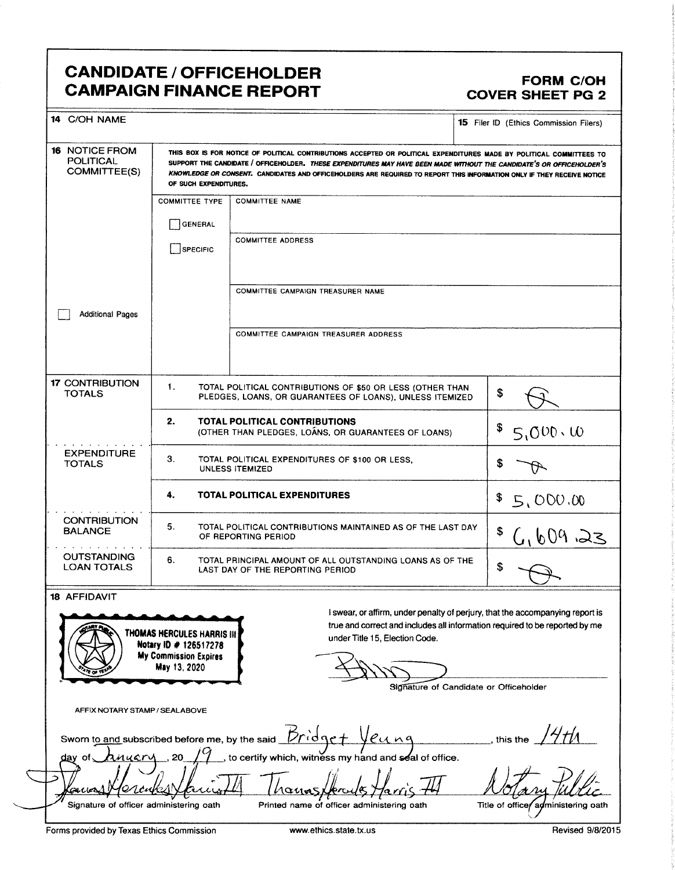## CANDIDATE / OFFICEHOLDER<br>CAMPAIGN FINANCE REPORT CAMPAIGN FORM COVER SHEET PG 2 **CAMPAIGN FINANCE REPORT**

| 14 C/OH NAME                                                                                                                |                                                                                                                                                                                                                                                                                                                                                                                                  |                                                                                                                                                                                                | <b>15</b> Filer ID (Ethics Commission Filers) |  |  |  |  |
|-----------------------------------------------------------------------------------------------------------------------------|--------------------------------------------------------------------------------------------------------------------------------------------------------------------------------------------------------------------------------------------------------------------------------------------------------------------------------------------------------------------------------------------------|------------------------------------------------------------------------------------------------------------------------------------------------------------------------------------------------|-----------------------------------------------|--|--|--|--|
| <b>16 NOTICE FROM</b><br><b>POLITICAL</b><br>COMMITTEE(S)                                                                   | THIS BOX IS FOR NOTICE OF POLITICAL CONTRIBUTIONS ACCEPTED OR POLITICAL EXPENDITURES MADE BY POLITICAL COMMITTEES TO<br>SUPPORT THE CANDIDATE / OFFICEHOLDER. THESE EXPENDITURES MAY HAVE BEEN MADE WITHOUT THE CANDIDATE'S OR OFFICEHOLDER'S<br>KNOWLEDGE OR CONSENT. CANDIDATES AND OFFICEHOLDERS ARE REQUIRED TO REPORT THIS INFORMATION ONLY IF THEY RECEIVE NOTICE<br>OF SUCH EXPENDITURES. |                                                                                                                                                                                                |                                               |  |  |  |  |
|                                                                                                                             | <b>COMMITTEE TYPE</b>                                                                                                                                                                                                                                                                                                                                                                            | <b>COMMITTEE NAME</b>                                                                                                                                                                          |                                               |  |  |  |  |
|                                                                                                                             | GENERAL                                                                                                                                                                                                                                                                                                                                                                                          |                                                                                                                                                                                                |                                               |  |  |  |  |
|                                                                                                                             | SPECIFIC                                                                                                                                                                                                                                                                                                                                                                                         | <b>COMMITTEE ADDRESS</b>                                                                                                                                                                       |                                               |  |  |  |  |
|                                                                                                                             |                                                                                                                                                                                                                                                                                                                                                                                                  | COMMITTEE CAMPAIGN TREASURER NAME                                                                                                                                                              |                                               |  |  |  |  |
| <b>Additional Pages</b>                                                                                                     |                                                                                                                                                                                                                                                                                                                                                                                                  |                                                                                                                                                                                                |                                               |  |  |  |  |
|                                                                                                                             |                                                                                                                                                                                                                                                                                                                                                                                                  | COMMITTEE CAMPAIGN TREASURER ADDRESS                                                                                                                                                           |                                               |  |  |  |  |
| <b>17 CONTRIBUTION</b><br><b>TOTALS</b>                                                                                     | $\mathbf{1}$ .<br>TOTAL POLITICAL CONTRIBUTIONS OF \$50 OR LESS (OTHER THAN<br>PLEDGES, LOANS, OR GUARANTEES OF LOANS), UNLESS ITEMIZED                                                                                                                                                                                                                                                          | \$                                                                                                                                                                                             |                                               |  |  |  |  |
|                                                                                                                             | 2.<br>TOTAL POLITICAL CONTRIBUTIONS<br>(OTHER THAN PLEDGES, LOANS, OR GUARANTEES OF LOANS)                                                                                                                                                                                                                                                                                                       | $5.000 \cdot 00$                                                                                                                                                                               |                                               |  |  |  |  |
| <b>EXPENDITURE</b><br><b>TOTALS</b>                                                                                         | 3.<br>TOTAL POLITICAL EXPENDITURES OF \$100 OR LESS.<br><b>UNLESS ITEMIZED</b>                                                                                                                                                                                                                                                                                                                   |                                                                                                                                                                                                |                                               |  |  |  |  |
|                                                                                                                             | 4.<br><b>TOTAL POLITICAL EXPENDITURES</b>                                                                                                                                                                                                                                                                                                                                                        | \$5,000.00                                                                                                                                                                                     |                                               |  |  |  |  |
| <b>CONTRIBUTION</b><br><b>BALANCE</b>                                                                                       | 5.<br>TOTAL POLITICAL CONTRIBUTIONS MAINTAINED AS OF THE LAST DAY<br>OF REPORTING PERIOD                                                                                                                                                                                                                                                                                                         | \$                                                                                                                                                                                             |                                               |  |  |  |  |
| <b>OUTSTANDING</b><br><b>LOAN TOTALS</b>                                                                                    | 6.<br>TOTAL PRINCIPAL AMOUNT OF ALL OUTSTANDING LOANS AS OF THE<br>LAST DAY OF THE REPORTING PERIOD                                                                                                                                                                                                                                                                                              | \$                                                                                                                                                                                             |                                               |  |  |  |  |
| <b>18 AFFIDAVIT</b>                                                                                                         | THOMAS HERCULES HARRIS III<br>Notary ID # 126517278                                                                                                                                                                                                                                                                                                                                              | I swear, or affirm, under penalty of perjury, that the accompanying report is<br>true and correct and includes all information required to be reported by me<br>under Title 15, Election Code. |                                               |  |  |  |  |
|                                                                                                                             | <b>My Commission Expires</b><br>May 13, 2020                                                                                                                                                                                                                                                                                                                                                     | Signature of Candidate or Officeholder                                                                                                                                                         |                                               |  |  |  |  |
| AFFIX NOTARY STAMP / SEALABOVE                                                                                              |                                                                                                                                                                                                                                                                                                                                                                                                  |                                                                                                                                                                                                |                                               |  |  |  |  |
| Dridge<br>euna<br>Sworn to and subscribed before me, by the said<br>this the                                                |                                                                                                                                                                                                                                                                                                                                                                                                  |                                                                                                                                                                                                |                                               |  |  |  |  |
| to certify which, witness my hand and seal of office.<br>nuarv<br><u>day</u><br>.ot                                         |                                                                                                                                                                                                                                                                                                                                                                                                  |                                                                                                                                                                                                |                                               |  |  |  |  |
| outier<br>$\alpha\mu$                                                                                                       |                                                                                                                                                                                                                                                                                                                                                                                                  |                                                                                                                                                                                                |                                               |  |  |  |  |
| Signature of officer administering oath<br>Printed name of officer administering oath<br>Title of office/administering oath |                                                                                                                                                                                                                                                                                                                                                                                                  |                                                                                                                                                                                                |                                               |  |  |  |  |
| Forms provided by Texas Ethics Commission                                                                                   |                                                                                                                                                                                                                                                                                                                                                                                                  | www.ethics.state.tx.us                                                                                                                                                                         | Revised 9/8/2015                              |  |  |  |  |